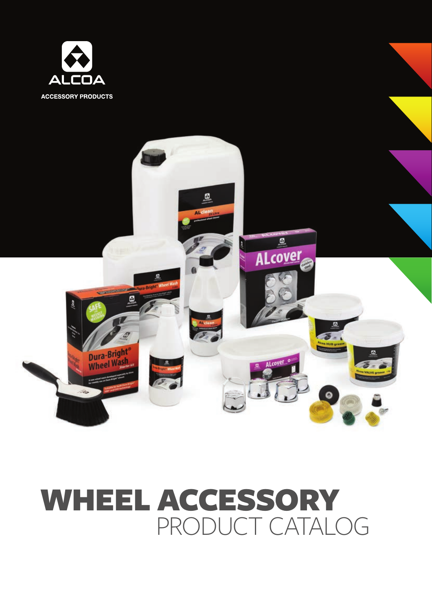



# PRODUCT CATALOG WHEEL ACCESSORY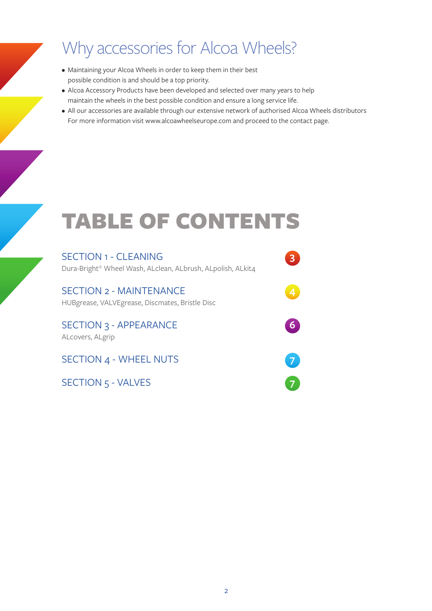### Why accessories for Alcoa Wheels?

- Maintaining your Alcoa Wheels in order to keep them in their best possible condition is and should be a top priority.
- Alcoa Accessory Products have been developed and selected over many years to help maintain the wheels in the best possible condition and ensure a long service life.
- All our accessories are available through our extensive network of authorised Alcoa Wheels distributors For more information visit www.alcoawheelseurope.com and proceed to the contact page.

# TABLE OF CONTENTS

| <b>SECTION 1 - CLEANING</b><br>Dura-Bright® Wheel Wash, ALclean, ALbrush, ALpolish, ALkit4 |  |
|--------------------------------------------------------------------------------------------|--|
| <b>SECTION 2 - MAINTENANCE</b><br>HUBgrease, VALVEgrease, Discmates, Bristle Disc          |  |
| <b>SECTION 3 - APPEARANCE</b><br>ALcovers, ALgrip                                          |  |
| SECTION 4 - WHEEL NUTS                                                                     |  |
| SECTION 5 - VALVES                                                                         |  |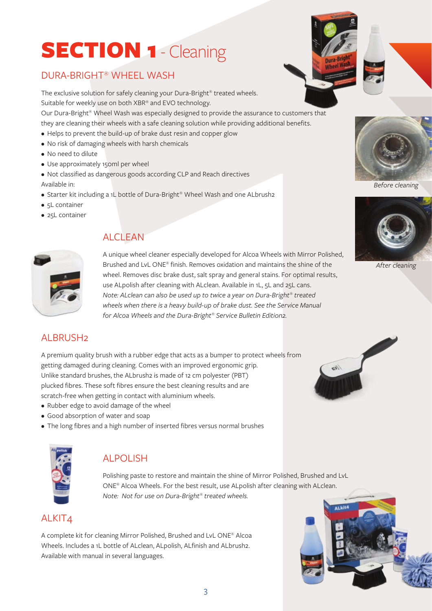# SECTION 1 - Cleaning

### DURA-BRIGHT® WHEEL WASH

The exclusive solution for safely cleaning your Dura-Bright® treated wheels. Suitable for weekly use on both XBR® and EVO technology.

Our Dura-Bright® Wheel Wash was especially designed to provide the assurance to customers that they are cleaning their wheels with a safe cleaning solution while providing additional benefits.

- Helps to prevent the build-up of brake dust resin and copper glow
- No risk of damaging wheels with harsh chemicals
- No need to dilute
- Use approximately 150ml per wheel

• Not classified as dangerous goods according CLP and Reach directives Available in:

- Starter kit including a 1L bottle of Dura-Bright® Wheel Wash and one ALbrush2
- 5L container
- 25L container



#### ALCLEAN

A unique wheel cleaner especially developed for Alcoa Wheels with Mirror Polished, Brushed and LvL ONE® finish. Removes oxidation and maintains the shine of the wheel. Removes disc brake dust, salt spray and general stains. For optimal results, use ALpolish after cleaning with ALclean. Available in 1L, 5L and 25L cans. *Note: ALclean can also be used up to twice a year on Dura-Bright® treated wheels when there is a heavy build-up of brake dust. See the Service Manual for Alcoa Wheels and the Dura-Bright® Service Bulletin Edition2.*

#### ALBRUSH2

A premium quality brush with a rubber edge that acts as a bumper to protect wheels from getting damaged during cleaning. Comes with an improved ergonomic grip. Unlike standard brushes, the ALbrush2 is made of 12 cm polyester (PBT) plucked fibres. These soft fibres ensure the best cleaning results and are scratch-free when getting in contact with aluminium wheels.

- Rubber edge to avoid damage of the wheel
- Good absorption of water and soap
- The long fibres and a high number of inserted fibres versus normal brushes



#### ALPOLISH

Polishing paste to restore and maintain the shine of Mirror Polished, Brushed and LvL ONE® Alcoa Wheels. For the best result, use ALpolish after cleaning with ALclean. *Note: Not for use on Dura-Bright® treated wheels.*

#### ALKIT4

A complete kit for cleaning Mirror Polished, Brushed and LvL ONE® Alcoa Wheels. Includes a 1L bottle of ALclean, ALpolish, ALfinish and ALbrush2. Available with manual in several languages.



#### *Before cleaning*



*After cleaning*



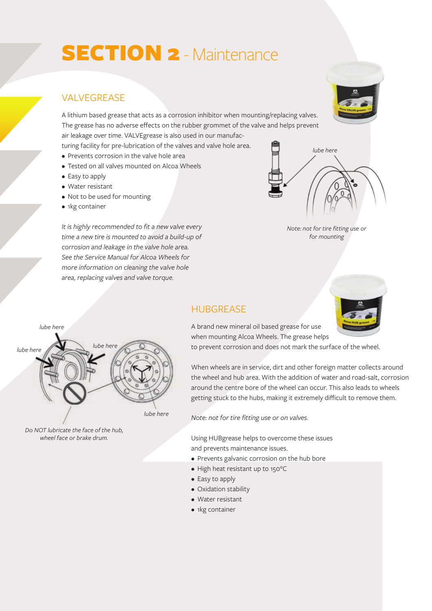### SECTION 2 - Maintenance

#### **VALVEGREASE**

A lithium based grease that acts as a corrosion inhibitor when mounting/replacing valves. The grease has no adverse effects on the rubber grommet of the valve and helps prevent air leakage over time. VALVEgrease is also used in our manufacturing facility for pre-lubrication of the valves and valve hole area.

- Prevents corrosion in the valve hole area
- Tested on all valves mounted on Alcoa Wheels
- Easy to apply
- Water resistant
- Not to be used for mounting
- 1kg container

*It is highly recommended to fit a new valve every time a new tire is mounted to avoid a build-up of corrosion and leakage in the valve hole area. See the Service Manual for Alcoa Wheels for more information on cleaning the valve hole area, replacing valves and valve torque.*





### **HUBGREASE**



A brand new mineral oil based grease for use when mounting Alcoa Wheels. The grease helps

to prevent corrosion and does not mark the surface of the wheel.

When wheels are in service, dirt and other foreign matter collects around the wheel and hub area. With the addition of water and road-salt, corrosion around the centre bore of the wheel can occur. This also leads to wheels getting stuck to the hubs, making it extremely difficult to remove them.

*Note: not for tire fitting use or on valves.*

Using HUBgrease helps to overcome these issues and prevents maintenance issues.

- Prevents galvanic corrosion on the hub bore
- High heat resistant up to 150°C
- Easy to apply
- Oxidation stability
- Water resistant
- 1kg container



*Do NOT lubricate the face of the hub, wheel face or brake drum.*

*lube here*

*lube here lube here*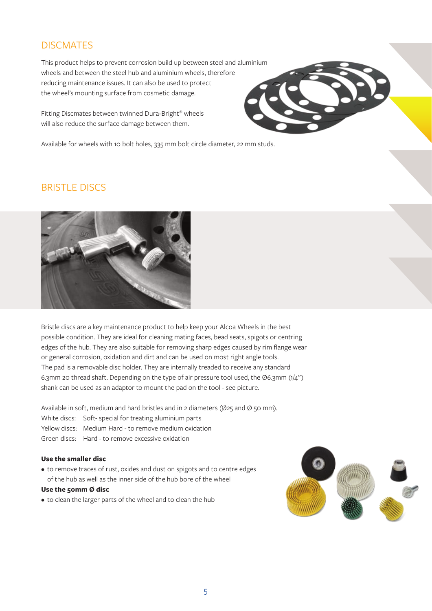#### **DISCMATES**

This product helps to prevent corrosion build up between steel and aluminium wheels and between the steel hub and aluminium wheels, therefore reducing maintenance issues. It can also be used to protect the wheel's mounting surface from cosmetic damage.

Fitting Discmates between twinned Dura-Bright® wheels will also reduce the surface damage between them.

Available for wheels with 10 bolt holes, 335 mm bolt circle diameter, 22 mm studs.

#### BRISTLE DISCS



Bristle discs are a key maintenance product to help keep your Alcoa Wheels in the best possible condition. They are ideal for cleaning mating faces, bead seats, spigots or centring edges of the hub. They are also suitable for removing sharp edges caused by rim flange wear or general corrosion, oxidation and dirt and can be used on most right angle tools. The pad is a removable disc holder. They are internally treaded to receive any standard 6.3mm 20 thread shaft. Depending on the type of air pressure tool used, the Ø6.3mm  $(1/4")$ shank can be used as an adaptor to mount the pad on the tool - see picture.

Available in soft, medium and hard bristles and in 2 diameters ( $\varnothing$ 25 and  $\varnothing$  50 mm). White discs: Soft- special for treating aluminium parts Yellow discs: Medium Hard - to remove medium oxidation Green discs: Hard - to remove excessive oxidation

#### **Use the smaller disc**

• to remove traces of rust, oxides and dust on spigots and to centre edges of the hub as well as the inner side of the hub bore of the wheel

#### **Use the 50mm Ø disc**

• to clean the larger parts of the wheel and to clean the hub

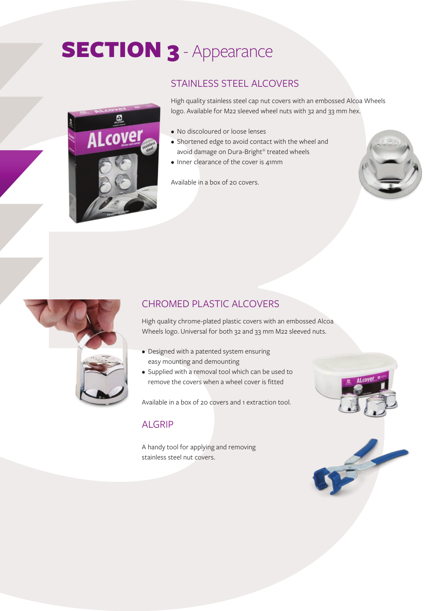## SECTION 3 - Appearance



#### STAINLESS STEEL ALCOVERS

High quality stainless steel cap nut covers with an embossed Alcoa Wheels logo. Available for M22 sleeved wheel nuts with 32 and 33 mm hex.

- No discoloured or loose lenses
- Shortened edge to avoid contact with the wheel and avoid damage on Dura-Bright® treated wheels
- Inner clearance of the cover is 41mm

Available in a box of 20 covers.





#### CHROMED PLASTIC ALCOVERS

High quality chrome-plated plastic covers with an embossed Alcoa Wheels logo. Universal for both 32 and 33 mm M22 sleeved nuts.

- Designed with a patented system ensuring easy mounting and demounting
- Supplied with a removal tool which can be used to remove the covers when a wheel cover is fitted

Available in a box of 20 covers and 1 extraction tool.

#### ALGRIP

A handy tool for applying and removing stainless steel nut covers.



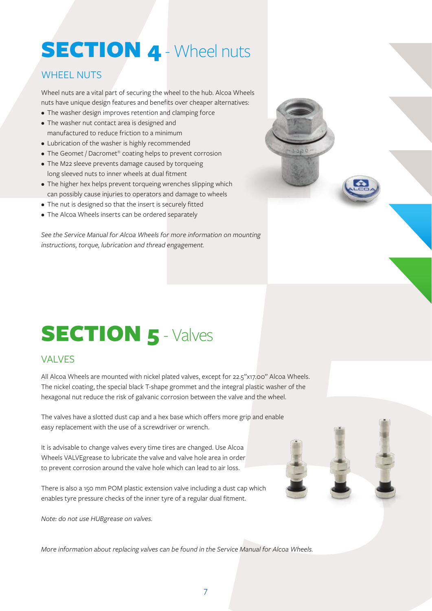### SECTION 4 - Wheel nuts

### WHEEL NUTS

Wheel nuts are a vital part of securing the wheel to the hub. Alcoa Wheels nuts have unique design features and benefits over cheaper alternatives:

- The washer design improves retention and clamping force
- The washer nut contact area is designed and manufactured to reduce friction to a minimum
- Lubrication of the washer is highly recommended
- The Geomet / Dacromet<sup>®</sup> coating helps to prevent corrosion
- The M22 sleeve prevents damage caused by torqueing long sleeved nuts to inner wheels at dual fitment
- The higher hex helps prevent torqueing wrenches slipping which can possibly cause injuries to operators and damage to wheels
- The nut is designed so that the insert is securely fitted
- The Alcoa Wheels inserts can be ordered separately

*See the Service Manual for Alcoa Wheels for more information on mounting instructions, torque, lubrication and thread engagement.*



### SECTION 5 - Valves

#### VALVES

All Alcoa Wheels are mounted with nickel plated valves, except for 22.5"x17.00" Alcoa Wheels. The nickel coating, the special black T-shape grommet and the integral plastic washer of the hexagonal nut reduce the risk of galvanic corrosion between the valve and the wheel.

The valves have a slotted dust cap and a hex base which offers more grip and enable easy replacement with the use of a screwdriver or wrench.

It is advisable to change valves every time tires are changed. Use Alcoa Wheels VALVEgrease to lubricate the valve and valve hole area in order to prevent corrosion around the valve hole which can lead to air loss.

There is also a 150 mm POM plastic extension valve including a dust cap which enables tyre pressure checks of the inner tyre of a regular dual fitment.

*Note: do not use HUBgrease on valves.*

*More information about replacing valves can be found in the Service Manual for Alcoa Wheels.*